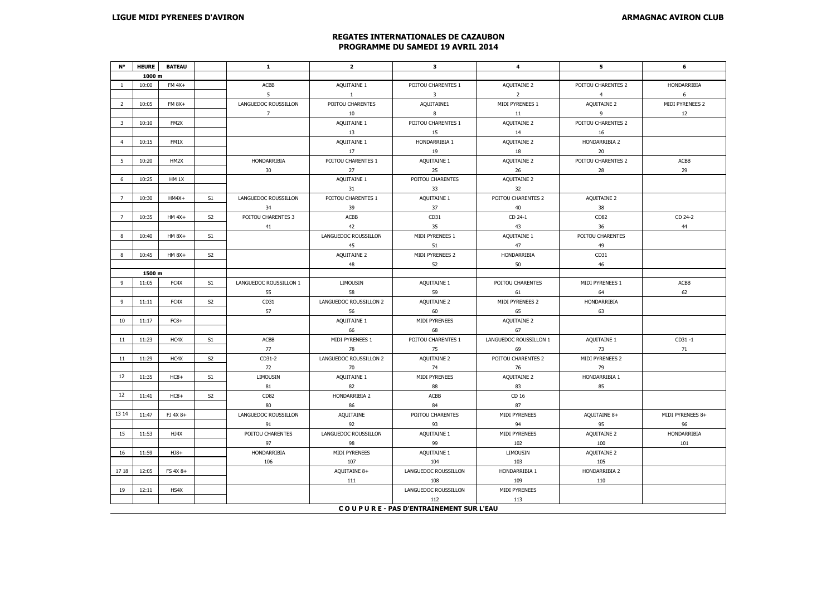## **REGATES INTERNATIONALES DE CAZAUBON PROGRAMME DU SAMEDI 19 AVRIL 2014**

| N۰             | <b>HEURE</b> | <b>BATEAU</b> |                | $\mathbf{1}$           | $\overline{2}$         | 3                                      | 4                      | 5                  | 6                |
|----------------|--------------|---------------|----------------|------------------------|------------------------|----------------------------------------|------------------------|--------------------|------------------|
|                | 1000 m       |               |                |                        |                        |                                        |                        |                    |                  |
| $\mathbf{1}$   | 10:00        | $FM 4X+$      |                | ACBB                   | AQUITAINE 1            | POITOU CHARENTES 1                     | AQUITAINE 2            | POITOU CHARENTES 2 | HONDARRIBIA      |
|                |              |               |                | 5 <sup>1</sup>         | $\mathbf{1}$           | $\mathbf{3}$                           | $\overline{2}$         | $\overline{4}$     | 6                |
| 2              | 10:05        | FM 8X+        |                | LANGUEDOC ROUSSILLON   | POITOU CHARENTES       | AQUITAINE1                             | MIDI PYRENEES 1        | AQUITAINE 2        | MIDI PYRENEES 2  |
|                |              |               |                | 7                      | 10                     | 8                                      | $11\,$                 | 9                  | 12               |
| $\mathbf{3}$   | 10:10        | FM2X          |                |                        | AQUITAINE 1            | POITOU CHARENTES 1                     | AQUITAINE 2            | POITOU CHARENTES 2 |                  |
|                |              |               |                |                        | 13                     | 15                                     | 14                     | 16                 |                  |
| $\overline{4}$ | 10:15        | FM1X          |                |                        | AQUITAINE 1            | HONDARRIBIA 1                          | AQUITAINE 2            | HONDARRIBIA 2      |                  |
|                |              |               |                |                        | 17                     | 19                                     | 18                     | 20                 |                  |
| 5              | 10:20        | HM2X          |                | HONDARRIBIA            | POITOU CHARENTES 1     | AQUITAINE 1                            | AQUITAINE 2            | POITOU CHARENTES 2 | ACBB             |
|                |              |               |                | 30                     | 27                     | 25                                     | 26                     | 28                 | 29               |
| 6              | 10:25        | HM 1X         |                |                        | AQUITAINE 1            | POITOU CHARENTES                       | AQUITAINE 2            |                    |                  |
|                |              |               |                |                        | 31                     | 33                                     | 32                     |                    |                  |
| $\overline{7}$ | 10:30        | $HM4X+$       | S1             | LANGUEDOC ROUSSILLON   | POITOU CHARENTES 1     | AQUITAINE 1                            | POITOU CHARENTES 2     | AQUITAINE 2        |                  |
|                |              |               |                | 34                     | 39                     | 37                                     | 40                     | 38                 |                  |
| $\overline{7}$ | 10:35        | $HM 4X+$      | S <sub>2</sub> | POITOU CHARENTES 3     | ACBB                   | CD31                                   | CD 24-1                | CD82               | CD 24-2          |
|                |              |               |                | 41                     | 42                     | 35                                     | 43                     | 36                 | 44               |
| 8              | 10:40        | $HM 8X+$      | S1             |                        | LANGUEDOC ROUSSILLON   | MIDI PYRENEES 1                        | AQUITAINE 1            | POITOU CHARENTES   |                  |
|                |              |               |                |                        | 45                     | 51                                     | 47                     | 49                 |                  |
| 8              | 10:45        | HM 8X+        | S <sub>2</sub> |                        | AQUITAINE 2            | MIDI PYRENEES 2                        | HONDARRIBIA            | CD31               |                  |
|                |              |               |                |                        | 48                     | 52                                     | 50                     | 46                 |                  |
|                | 1500 m       |               |                |                        |                        |                                        |                        |                    |                  |
| 9              | 11:05        | FC4X          | S1             | LANGUEDOC ROUSSILLON 1 | LIMOUSIN               | AQUITAINE 1                            | POITOU CHARENTES       | MIDI PYRENEES 1    | ACBB             |
|                |              |               |                | 55                     | 58                     | 59                                     | 61                     | 64                 | 62               |
| 9              | 11:11        | FC4X          | S <sub>2</sub> | CD31                   | LANGUEDOC ROUSSILLON 2 | AQUITAINE 2                            | MIDI PYRENEES 2        | HONDARRIBIA        |                  |
|                |              |               |                | 57                     | 56                     | 60                                     | 65                     | 63                 |                  |
| 10             | 11:17        | $FC8+$        |                |                        | AQUITAINE 1            | MIDI PYRENEES                          | AQUITAINE 2            |                    |                  |
|                |              |               |                |                        | 66                     | 68                                     | 67                     |                    |                  |
| 11             | 11:23        | HC4X          | S1             | ACBB                   | MIDI PYRENEES 1        | POITOU CHARENTES 1                     | LANGUEDOC ROUSSILLON 1 | AQUITAINE 1        | $CD31 - 1$       |
|                |              |               |                | 77                     | 78                     | 75                                     | 69                     | 73                 | 71               |
| $11\,$         | 11:29        | HC4X          | S <sub>2</sub> | CD31-2                 | LANGUEDOC ROUSSILLON 2 | AQUITAINE 2                            | POITOU CHARENTES 2     | MIDI PYRENEES 2    |                  |
|                |              |               |                | 72                     | 70                     | 74                                     | 76                     | 79                 |                  |
| 12             | 11:35        | $HC8+$        | S1             | <b>LIMOUSIN</b>        | AQUITAINE 1            | MIDI PYRENEES                          | AQUITAINE 2            | HONDARRIBIA 1      |                  |
|                |              |               |                | 81                     | 82                     | 88                                     | 83                     | 85                 |                  |
| 12             | 11:41        | $HC8+$        | S <sub>2</sub> | CD82                   | HONDARRIBIA 2          | ACBB                                   | CD 16                  |                    |                  |
|                |              |               |                | 80                     | 86                     | 84                                     | 87                     |                    |                  |
| 13 14          | 11:47        | FJ 4X 8+      |                | LANGUEDOC ROUSSILLON   | AQUITAINE              | POITOU CHARENTES                       | MIDI PYRENEES          | AQUITAINE 8+       | MIDI PYRENEES 8+ |
|                |              |               |                | 91                     | 92                     | 93                                     | 94                     | 95                 | 96               |
| 15             | 11:53        | HJ4X          |                | POITOU CHARENTES       | LANGUEDOC ROUSSILLON   | AQUITAINE 1                            | MIDI PYRENEES          | AQUITAINE 2        | HONDARRIBIA      |
|                |              |               |                | 97                     | 98                     | 99                                     | 102                    | 100                | 101              |
| 16             | 11:59        | $HJ8+$        |                | HONDARRIBIA            | MIDI PYRENEES          | AQUITAINE 1                            | LIMOUSIN               | AQUITAINE 2        |                  |
|                |              |               |                | 106                    | 107                    | 104                                    | 103                    | 105                |                  |
| 17 18          | 12:05        | FS 4X 8+      |                |                        | AQUITAINE 8+           | LANGUEDOC ROUSSILLON                   | HONDARRIBIA 1          | HONDARRIBIA 2      |                  |
|                |              |               |                |                        | 111                    | 108                                    | 109                    | 110                |                  |
| 19             | 12:11        | HS4X          |                |                        |                        | LANGUEDOC ROUSSILLON                   | MIDI PYRENEES          |                    |                  |
|                |              |               |                |                        |                        | 112                                    | 113                    |                    |                  |
|                |              |               |                |                        |                        | COUPURE - PAS D'ENTRAINEMENT SUR L'EAU |                        |                    |                  |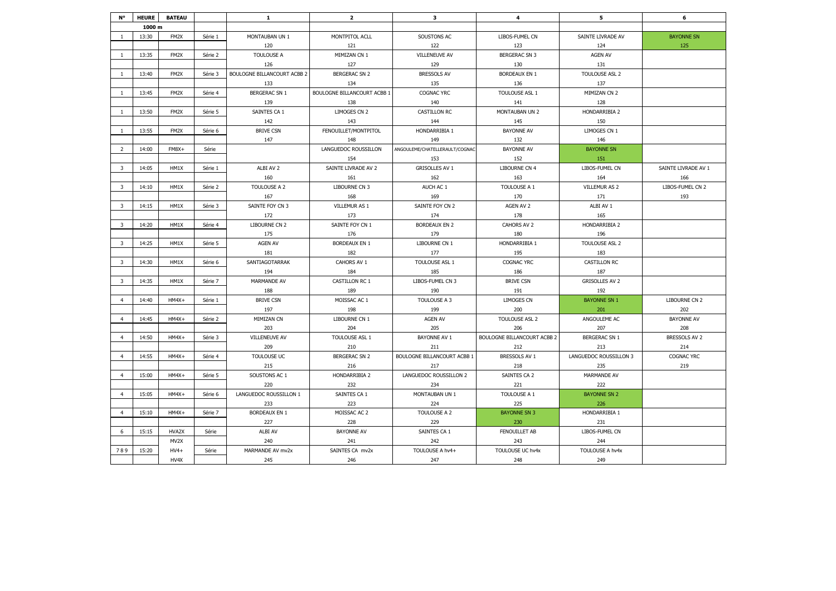| N°                      | <b>HEURE</b> | <b>BATEAU</b> |         | 1                                  | $\overline{2}$              | $\mathbf{3}$                   | 4                           | 5                      | 6                   |
|-------------------------|--------------|---------------|---------|------------------------------------|-----------------------------|--------------------------------|-----------------------------|------------------------|---------------------|
|                         | 1000 m       |               |         |                                    |                             |                                |                             |                        |                     |
| $\mathbf{1}$            | 13:30        | FM2X          | Série 1 | MONTAUBAN UN 1                     | MONTPITOL ACLL              | SOUSTONS AC                    | LIBOS-FUMEL CN              | SAINTE LIVRADE AV      | <b>BAYONNE SN</b>   |
|                         |              |               |         | 120                                | 121                         | 122                            | 123                         | 124                    | 125                 |
| $\mathbf{1}$            | 13:35        | FM2X          | Série 2 | <b>TOULOUSE A</b>                  | MIMIZAN CN 1                | <b>VILLENEUVE AV</b>           | <b>BERGERAC SN 3</b>        | <b>AGEN AV</b>         |                     |
|                         |              |               |         | 126                                | 127                         | 129                            | 130                         | 131                    |                     |
| $\mathbf{1}$            | 13:40        | FM2X          | Série 3 | <b>BOULOGNE BILLANCOURT ACBB 2</b> | <b>BERGERAC SN 2</b>        | <b>BRESSOLS AV</b>             | <b>BORDEAUX EN 1</b>        | TOULOUSE ASL 2         |                     |
|                         |              |               |         | 133                                | 134                         | 135                            | 136                         | 137                    |                     |
| $\mathbf{1}$            | 13:45        | FM2X          | Série 4 | <b>BERGERAC SN 1</b>               | BOULOGNE BILLANCOURT ACBB 1 | COGNAC YRC                     | TOULOUSE ASL 1              | MIMIZAN CN 2           |                     |
|                         |              |               |         | 139                                | 138                         | 140                            | 141                         | 128                    |                     |
| 1                       | 13:50        | FM2X          | Série 5 | SAINTES CA 1                       | LIMOGES CN 2                | <b>CASTILLON RC</b>            | MONTAUBAN UN 2              | HONDARRIBIA 2          |                     |
|                         |              |               |         | 142                                | 143                         | 144                            | 145                         | 150                    |                     |
| $\mathbf{1}$            | 13:55        | FM2X          | Série 6 | <b>BRIVE CSN</b>                   | FENOUILLET/MONTPITOL        | HONDARRIBIA 1                  | <b>BAYONNE AV</b>           | LIMOGES CN 1           |                     |
|                         |              |               |         | 147                                | 148                         | 149                            | 132                         | 146                    |                     |
| $\overline{2}$          | 14:00        | $FM8X+$       | Série   |                                    | LANGUEDOC ROUSSILLON        | ANGOULEME/CHATELLERAULT/COGNAC | <b>BAYONNE AV</b>           | <b>BAYONNE SN</b>      |                     |
|                         |              |               |         |                                    | 154                         | 153                            | 152                         | 151                    |                     |
| 3                       | 14:05        | HM1X          | Série 1 | ALBI AV 2                          | SAINTE LIVRADE AV 2         | <b>GRISOLLES AV 1</b>          | LIBOURNE CN 4               | LIBOS-FUMEL CN         | SAINTE LIVRADE AV 1 |
|                         |              |               |         | 160                                | 161                         | 162                            | 163                         | 164                    | 166                 |
| $\overline{\mathbf{3}}$ | 14:10        | HM1X          | Série 2 | TOULOUSE A 2                       | LIBOURNE CN 3               | AUCH AC 1                      | TOULOUSE A 1                | VILLEMUR AS 2          | LIBOS-FUMEL CN 2    |
|                         |              |               |         | 167                                | 168                         | 169                            | 170                         | 171                    | 193                 |
| $\overline{\mathbf{3}}$ | 14:15        | HM1X          | Série 3 | SAINTE FOY CN 3                    | VILLEMUR AS 1               | SAINTE FOY CN 2                | AGEN AV 2                   | ALBI AV 1              |                     |
|                         |              |               |         | 172                                | 173                         | 174                            | 178                         | 165                    |                     |
| 3                       | 14:20        | HM1X          | Série 4 | LIBOURNE CN 2                      | SAINTE FOY CN 1             | <b>BORDEAUX EN 2</b>           | CAHORS AV 2                 | HONDARRIBIA 2          |                     |
|                         |              |               |         | 175                                | 176                         | 179                            | 180                         | 196                    |                     |
| 3                       | 14:25        | HM1X          | Série 5 | AGEN AV                            | <b>BORDEAUX EN 1</b>        | LIBOURNE CN 1                  | HONDARRIBIA 1               | TOULOUSE ASL 2         |                     |
|                         |              |               |         | 181                                | 182                         | 177                            | 195                         | 183                    |                     |
| 3                       | 14:30        | HM1X          | Série 6 | SANTIAGOTARRAK                     | CAHORS AV 1                 | TOULOUSE ASL 1                 | COGNAC YRC                  | <b>CASTILLON RC</b>    |                     |
|                         |              |               |         | 194                                | 184                         | 185                            | 186                         | 187                    |                     |
| 3                       | 14:35        | HM1X          | Série 7 | MARMANDE AV                        | CASTILLON RC 1              | LIBOS-FUMEL CN 3               | <b>BRIVE CSN</b>            | <b>GRISOLLES AV 2</b>  |                     |
|                         |              |               |         | 188                                | 189                         | 190                            | 191                         | 192                    |                     |
| $\overline{4}$          | 14:40        | $HM4X+$       | Série 1 | <b>BRIVE CSN</b>                   | MOISSAC AC 1                | TOULOUSE A 3                   | <b>LIMOGES CN</b>           | <b>BAYONNE SN 1</b>    | LIBOURNE CN 2       |
|                         |              |               |         | 197                                | 198                         | 199                            | 200                         | 201                    | 202                 |
| $\overline{4}$          | 14:45        | $HM4X+$       | Série 2 | MIMIZAN CN                         | LIBOURNE CN 1               | <b>AGEN AV</b>                 | TOULOUSE ASL 2              | ANGOULEME AC           | <b>BAYONNE AV</b>   |
|                         |              |               |         | 203                                | 204                         | 205                            | 206                         | 207                    | 208                 |
| $\overline{a}$          | 14:50        | $HM4X+$       | Série 3 | <b>VILLENEUVE AV</b>               | TOULOUSE ASL 1              | <b>BAYONNE AV 1</b>            | BOULOGNE BILLANCOURT ACBB 2 | <b>BERGERAC SN 1</b>   | BRESSOLS AV 2       |
|                         |              |               |         | 209                                | 210                         | 211                            | 212                         | 213                    | 214                 |
| $\overline{4}$          | 14:55        | $HM4X+$       | Série 4 | TOULOUSE UC                        | <b>BERGERAC SN 2</b>        | BOULOGNE BILLANCOURT ACBB 1    | BRESSOLS AV 1               | LANGUEDOC ROUSSILLON 3 | COGNAC YRC          |
|                         |              |               |         | 215                                | 216                         | 217                            | 218                         | 235                    | 219                 |
| $\overline{4}$          | 15:00        | $HM4X+$       | Série 5 | SOUSTONS AC 1                      | HONDARRIBIA 2               | LANGUEDOC ROUSSILLON 2         | SAINTES CA 2                | <b>MARMANDE AV</b>     |                     |
|                         |              |               |         | 220                                | 232                         | 234                            | 221                         | 222                    |                     |
| $\overline{4}$          | 15:05        | $HM4X+$       | Série 6 | LANGUEDOC ROUSSILLON 1             | SAINTES CA 1                | MONTAUBAN UN 1                 | TOULOUSE A 1                | <b>BAYONNE SN 2</b>    |                     |
|                         |              |               |         | 233                                | 223                         | 224                            | 225                         | 226                    |                     |
| $\overline{4}$          | 15:10        | $HM4X+$       | Série 7 | <b>BORDEAUX EN 1</b>               | MOISSAC AC 2                | TOULOUSE A 2                   | <b>BAYONNE SN 3</b>         | HONDARRIBIA 1          |                     |
|                         |              |               |         | 227                                | 228                         | 229                            | 230                         | 231                    |                     |
| 6                       | 15:15        | HVA2X         | Série   | ALBI AV                            | <b>BAYONNE AV</b>           | SAINTES CA 1                   | FENOUILLET AB               | LIBOS-FUMEL CN         |                     |
|                         |              | MV2X          |         | 240                                | 241                         | 242                            | 243                         | 244                    |                     |
| 789                     | 15:20        | $HV4+$        | Série   | MARMANDE AV mv2x                   | SAINTES CA mv2x             | TOULOUSE A hv4+                | TOULOUSE UC hv4x            | TOULOUSE A hv4x        |                     |
|                         |              | HV4X          |         | 245                                | 246                         | 247                            | 248                         | 249                    |                     |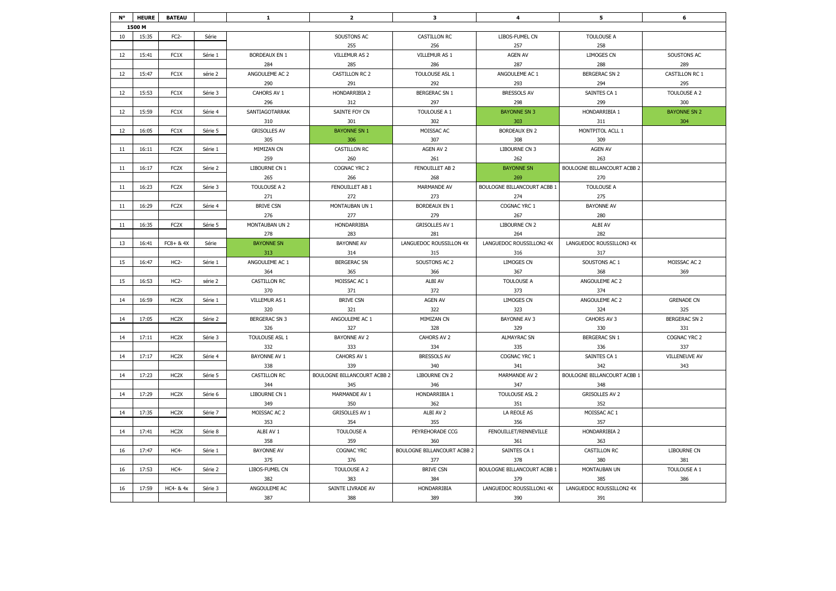| N° | <b>HEURE</b> | <b>BATEAU</b>     |         | $\mathbf 1$          | $\overline{2}$              | 3                           | 4                           | 5                           | 6                    |
|----|--------------|-------------------|---------|----------------------|-----------------------------|-----------------------------|-----------------------------|-----------------------------|----------------------|
|    | 1500 M       |                   |         |                      |                             |                             |                             |                             |                      |
| 10 | 15:35        | FC <sub>2</sub> - | Série   |                      | SOUSTONS AC                 | <b>CASTILLON RC</b>         | LIBOS-FUMEL CN              | <b>TOULOUSE A</b>           |                      |
|    |              |                   |         |                      | 255                         | 256                         | 257                         | 258                         |                      |
| 12 | 15:41        | FC1X              | Série 1 | <b>BORDEAUX EN 1</b> | VILLEMUR AS 2               | VILLEMUR AS 1               | <b>AGEN AV</b>              | <b>LIMOGES CN</b>           | SOUSTONS AC          |
|    |              |                   |         | 284                  | 285                         | 286                         | 287                         | 288                         | 289                  |
| 12 | 15:47        | FC1X              | série 2 | ANGOULEME AC 2       | CASTILLON RC 2              | TOULOUSE ASL 1              | ANGOULEME AC 1              | <b>BERGERAC SN 2</b>        | CASTILLON RC 1       |
|    |              |                   |         | 290                  | 291                         | 292                         | 293                         | 294                         | 295                  |
| 12 | 15:53        | FC1X              | Série 3 | CAHORS AV 1          | HONDARRIBIA 2               | <b>BERGERAC SN 1</b>        | <b>BRESSOLS AV</b>          | SAINTES CA 1                | TOULOUSE A 2         |
|    |              |                   |         | 296                  | 312                         | 297                         | 298                         | 299                         | 300                  |
| 12 | 15:59        | FC1X              | Série 4 | SANTIAGOTARRAK       | SAINTE FOY CN               | TOULOUSE A 1                | <b>BAYONNE SN 3</b>         | HONDARRIBIA 1               | <b>BAYONNE SN 2</b>  |
|    |              |                   |         | 310                  | 301                         | 302                         | 303                         | 311                         | 304                  |
| 12 | 16:05        | FC1X              | Série 5 | <b>GRISOLLES AV</b>  | <b>BAYONNE SN 1</b>         | MOISSAC AC                  | <b>BORDEAUX EN 2</b>        | MONTPITOL ACLL 1            |                      |
|    |              |                   |         | 305                  | 306                         | 307                         | 308                         | 309                         |                      |
| 11 | 16:11        | FC <sub>2</sub> X | Série 1 | MIMIZAN CN           | <b>CASTILLON RC</b>         | AGEN AV 2                   | LIBOURNE CN 3               | <b>AGEN AV</b>              |                      |
|    |              |                   |         | 259                  | 260                         | 261                         | 262                         | 263                         |                      |
| 11 | 16:17        | FC <sub>2</sub> X | Série 2 | LIBOURNE CN 1        | COGNAC YRC 2                | FENOUILLET AB 2             | <b>BAYONNE SN</b>           | BOULOGNE BILLANCOURT ACBB 2 |                      |
|    |              |                   |         | 265                  | 266                         | 268                         | 269                         | 270                         |                      |
| 11 | 16:23        | FC <sub>2</sub> X | Série 3 | TOULOUSE A 2         | FENOUILLET AB 1             | MARMANDE AV                 | BOULOGNE BILLANCOURT ACBB 1 | <b>TOULOUSE A</b>           |                      |
|    |              |                   |         | 271                  | 272                         | 273                         | 274                         | 275                         |                      |
| 11 | 16:29        | FC <sub>2</sub> X | Série 4 | <b>BRIVE CSN</b>     | MONTAUBAN UN 1              | <b>BORDEAUX EN 1</b>        | COGNAC YRC 1                | <b>BAYONNE AV</b>           |                      |
|    |              |                   |         | 276                  | 277                         | 279                         | 267                         | 280                         |                      |
| 11 | 16:35        | FC <sub>2</sub> X | Série 5 | MONTAUBAN UN 2       | HONDARRIBIA                 | <b>GRISOLLES AV 1</b>       | LIBOURNE CN 2               | ALBI AV                     |                      |
|    |              |                   |         | 278                  | 283                         | 281                         | 264                         | 282                         |                      |
| 13 | 16:41        | FC8+ & 4X         | Série   | <b>BAYONNE SN</b>    | <b>BAYONNE AV</b>           | LANGUEDOC ROUSSILLON 4X     | LANGUEDOC ROUSSILLON2 4X    | LANGUEDOC ROUSSILLON3 4X    |                      |
|    |              |                   |         | 313                  | 314                         | 315                         | 316                         | 317                         |                      |
| 15 | 16:47        | HC <sub>2</sub> - | Série 1 | ANGOULEME AC 1       | <b>BERGERAC SN</b>          | SOUSTONS AC 2               | LIMOGES CN                  | SOUSTONS AC 1               | MOISSAC AC 2         |
|    |              |                   |         | 364                  | 365                         | 366                         | 367                         | 368                         | 369                  |
| 15 | 16:53        | HC <sub>2</sub> - | série 2 | <b>CASTILLON RC</b>  | MOISSAC AC 1                | ALBI AV                     | <b>TOULOUSE A</b>           | ANGOULEME AC 2              |                      |
|    |              |                   |         | 370                  | 371                         | 372                         | 373                         | 374                         |                      |
| 14 | 16:59        | HC <sub>2</sub> X | Série 1 | VILLEMUR AS 1        | <b>BRIVE CSN</b>            | AGEN AV                     | LIMOGES CN                  | ANGOULEME AC 2              | <b>GRENADE CN</b>    |
|    |              |                   |         | 320                  | 321                         | 322                         | 323                         | 324                         | 325                  |
| 14 | 17:05        | HC <sub>2</sub> X | Série 2 | <b>BERGERAC SN 3</b> | ANGOULEME AC 1              | MIMIZAN CN                  | <b>BAYONNE AV 3</b>         | CAHORS AV 3                 | <b>BERGERAC SN 2</b> |
|    |              |                   |         | 326                  | 327                         | 328                         | 329                         | 330                         | 331                  |
| 14 | 17:11        | HC <sub>2</sub> X | Série 3 | TOULOUSE ASL 1       | <b>BAYONNE AV 2</b>         | CAHORS AV 2                 | <b>ALMAYRAC SN</b>          | <b>BERGERAC SN 1</b>        | COGNAC YRC 2         |
|    |              |                   |         | 332                  | 333                         | 334                         | 335                         | 336                         | 337                  |
| 14 | 17:17        | HC <sub>2</sub> X | Série 4 | <b>BAYONNE AV 1</b>  | CAHORS AV 1                 | <b>BRESSOLS AV</b>          | COGNAC YRC 1                | SAINTES CA 1                | <b>VILLENEUVE AV</b> |
|    |              |                   |         | 338                  | 339                         | 340                         | 341                         | 342                         | 343                  |
| 14 | 17:23        | HC <sub>2</sub> X | Série 5 | <b>CASTILLON RC</b>  | BOULOGNE BILLANCOURT ACBB 2 | LIBOURNE CN 2               | MARMANDE AV 2               | BOULOGNE BILLANCOURT ACBB 1 |                      |
|    |              |                   |         | 344                  | 345                         | 346                         | 347                         | 348                         |                      |
| 14 | 17:29        | HC <sub>2</sub> X | Série 6 | LIBOURNE CN 1        | MARMANDE AV 1               | HONDARRIBIA 1               | TOULOUSE ASL 2              | <b>GRISOLLES AV 2</b>       |                      |
|    |              |                   |         | 349                  | 350                         | 362                         | 351                         | 352                         |                      |
| 14 | 17:35        | HC <sub>2</sub> X | Série 7 | MOISSAC AC 2         | <b>GRISOLLES AV 1</b>       | ALBI AV 2                   | LA REOLE AS                 | MOISSAC AC 1                |                      |
|    |              |                   |         | 353                  | 354                         | 355                         | 356                         | 357                         |                      |
| 14 | 17:41        | HC <sub>2</sub> X | Série 8 | ALBI AV 1            | <b>TOULOUSE A</b>           | PEYREHORADE CCG             | FENOUILLET/RENNEVILLE       | HONDARRIBIA 2               |                      |
|    |              |                   |         | 358                  | 359                         | 360                         | 361                         | 363                         |                      |
| 16 | 17:47        | HC4-              | Série 1 | <b>BAYONNE AV</b>    | COGNAC YRC                  | BOULOGNE BILLANCOURT ACBB 2 | SAINTES CA 1                | CASTILLON RC                | LIBOURNE CN          |
|    |              |                   |         | 375                  | 376                         | 377                         | 378                         | 380                         | 381                  |
| 16 | 17:53        | HC4-              | Série 2 | LIBOS-FUMEL CN       | TOULOUSE A 2                | <b>BRIVE CSN</b>            | BOULOGNE BILLANCOURT ACBB 1 | MONTAUBAN UN                | TOULOUSE A 1         |
|    |              |                   |         | 382                  | 383                         | 384                         | 379                         | 385                         | 386                  |
| 16 | 17:59        | HC4- & 4x         | Série 3 | ANGOULEME AC         | SAINTE LIVRADE AV           | HONDARRIBIA                 | LANGUEDOC ROUSSILLON1 4X    | LANGUEDOC ROUSSILLON2 4X    |                      |
|    |              |                   |         | 387                  | 388                         | 389                         | 390                         | 391                         |                      |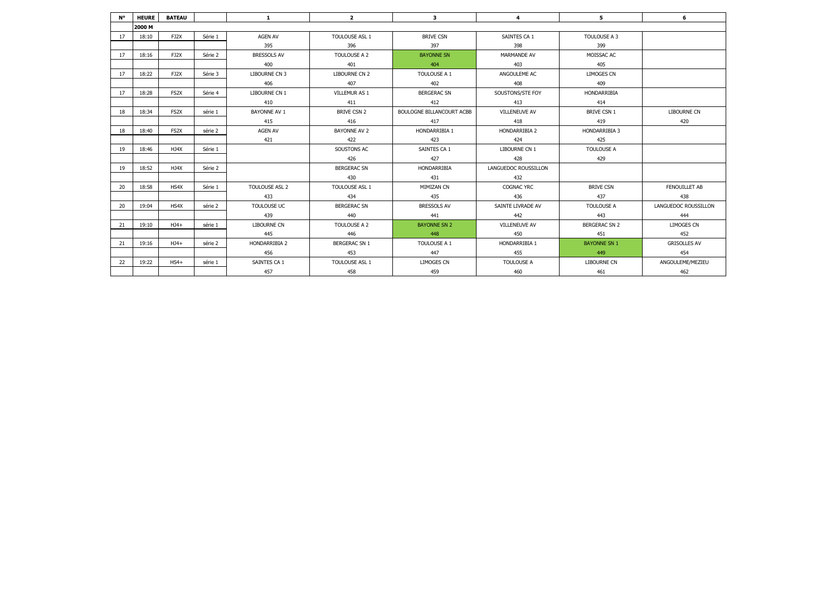| N° | <b>HEURE</b> | <b>BATEAU</b>     |         | $\mathbf{1}$        | $\overline{2}$       | 3                                | $\overline{4}$       | 5                    | 6                    |
|----|--------------|-------------------|---------|---------------------|----------------------|----------------------------------|----------------------|----------------------|----------------------|
|    | 2000 M       |                   |         |                     |                      |                                  |                      |                      |                      |
| 17 | 18:10        | FJ2X              | Série 1 | <b>AGEN AV</b>      | TOULOUSE ASL 1       | <b>BRIVE CSN</b>                 | SAINTES CA 1         | TOULOUSE A 3         |                      |
|    |              |                   |         | 395                 | 396                  | 397                              | 398                  | 399                  |                      |
| 17 | 18:16        | FJ2X              | Série 2 | <b>BRESSOLS AV</b>  | TOULOUSE A 2         | <b>BAYONNE SN</b>                | <b>MARMANDE AV</b>   | MOISSAC AC           |                      |
|    |              |                   |         | 400                 | 401                  | 404                              | 403                  | 405                  |                      |
| 17 | 18:22        | FJ2X              | Série 3 | LIBOURNE CN 3       | LIBOURNE CN 2        | TOULOUSE A 1                     | ANGOULEME AC         | <b>LIMOGES CN</b>    |                      |
|    |              |                   |         | 406                 | 407                  | 402                              | 408                  | 409                  |                      |
| 17 | 18:28        | FS2X              | Série 4 | LIBOURNE CN 1       | VILLEMUR AS 1        | <b>BERGERAC SN</b>               | SOUSTONS/STE FOY     | HONDARRIBIA          |                      |
|    |              |                   |         | 410                 | 411                  | 412                              | 413                  | 414                  |                      |
| 18 | 18:34        | FS <sub>2</sub> X | série 1 | <b>BAYONNE AV 1</b> | <b>BRIVE CSN 2</b>   | <b>BOULOGNE BILLANCOURT ACBB</b> | <b>VILLENEUVE AV</b> | <b>BRIVE CSN 1</b>   | LIBOURNE CN          |
|    |              |                   |         | 415                 | 416                  | 417                              | 418                  | 419                  | 420                  |
| 18 | 18:40        | FS <sub>2</sub> X | série 2 | AGEN AV             | <b>BAYONNE AV 2</b>  | HONDARRIBIA 1                    | HONDARRIBIA 2        | HONDARRIBIA 3        |                      |
|    |              |                   |         | 421                 | 422                  | 423                              | 424                  | 425                  |                      |
| 19 | 18:46        | HJ4X              | Série 1 |                     | SOUSTONS AC          | SAINTES CA 1                     | LIBOURNE CN 1        | TOULOUSE A           |                      |
|    |              |                   |         |                     | 426                  | 427                              | 428                  | 429                  |                      |
| 19 | 18:52        | HJ4X              | Série 2 |                     | <b>BERGERAC SN</b>   | HONDARRIBIA                      | LANGUEDOC ROUSSILLON |                      |                      |
|    |              |                   |         |                     | 430                  | 431                              | 432                  |                      |                      |
| 20 | 18:58        | HS4X              | Série 1 | TOULOUSE ASL 2      | TOULOUSE ASL 1       | MIMIZAN CN                       | <b>COGNAC YRC</b>    | <b>BRIVE CSN</b>     | FENOUILLET AB        |
|    |              |                   |         | 433                 | 434                  | 435                              | 436                  | 437                  | 438                  |
| 20 | 19:04        | HS4X              | série 2 | TOULOUSE UC         | <b>BERGERAC SN</b>   | <b>BRESSOLS AV</b>               | SAINTE LIVRADE AV    | TOULOUSE A           | LANGUEDOC ROUSSILLON |
|    |              |                   |         | 439                 | 440                  | 441                              | 442                  | 443                  | 444                  |
| 21 | 19:10        | $HJ4+$            | série 1 | <b>LIBOURNE CN</b>  | TOULOUSE A 2         | <b>BAYONNE SN 2</b>              | <b>VILLENEUVE AV</b> | <b>BERGERAC SN 2</b> | LIMOGES CN           |
|    |              |                   |         | 445                 | 446                  | 448                              | 450                  | 451                  | 452                  |
| 21 | 19:16        | $HJ4+$            | série 2 | HONDARRIBIA 2       | <b>BERGERAC SN 1</b> | TOULOUSE A 1                     | HONDARRIBIA 1        | <b>BAYONNE SN 1</b>  | <b>GRISOLLES AV</b>  |
|    |              |                   |         | 456                 | 453                  | 447                              | 455                  | 449                  | 454                  |
| 22 | 19:22        | $HS4+$            | série 1 | SAINTES CA 1        | TOULOUSE ASL 1       | <b>LIMOGES CN</b>                | <b>TOULOUSE A</b>    | <b>LIBOURNE CN</b>   | ANGOULEME/MEZIEU     |
|    |              |                   |         | 457                 | 458                  | 459                              | 460                  | 461                  | 462                  |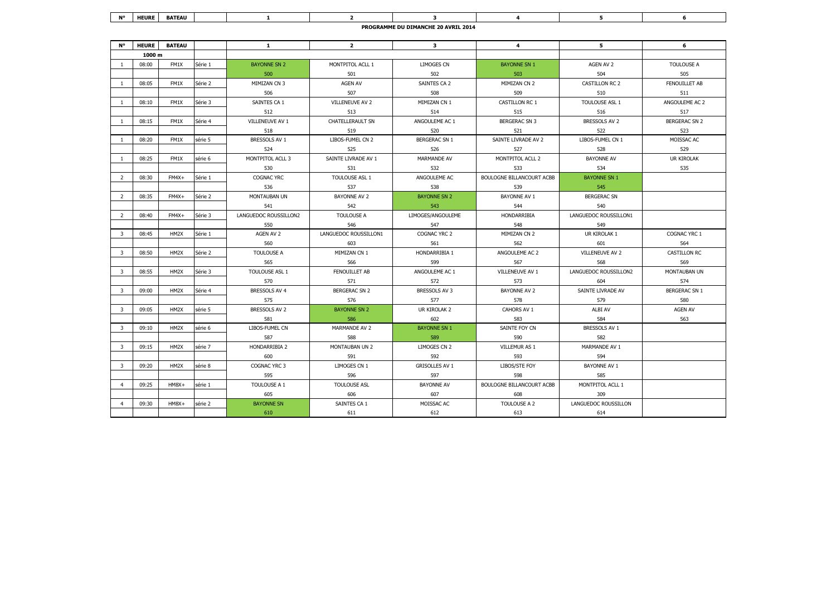| <b>N°</b>               | <b>HEURE</b> | <b>BATEAU</b>     |         | $\mathbf{1}$          | $\overline{2}$        | $\overline{\mathbf{3}}$ | $\overline{a}$            | 5.                    | 6                    |  |  |
|-------------------------|--------------|-------------------|---------|-----------------------|-----------------------|-------------------------|---------------------------|-----------------------|----------------------|--|--|
|                         | 1000 m       |                   |         |                       |                       |                         |                           |                       |                      |  |  |
| -1                      | 08:00        | FM1X              | Série 1 | <b>BAYONNE SN 2</b>   | MONTPITOL ACLL 1      | <b>LIMOGES CN</b>       | <b>BAYONNE SN 1</b>       | AGEN AV 2             | <b>TOULOUSE A</b>    |  |  |
|                         |              |                   |         | 500                   | 501                   | 502                     | 503                       | 504                   | 505                  |  |  |
| $\mathbf{1}$            | 08:05        | FM1X              | Série 2 | MIMIZAN CN 3          | AGEN AV               | SAINTES CA 2            | MIMIZAN CN 2              | CASTILLON RC 2        | FENOUILLET AB        |  |  |
|                         |              |                   |         | 506                   | 507                   | 508                     | 509                       | 510                   | 511                  |  |  |
| $\overline{1}$          | 08:10        | FM1X              | Série 3 | SAINTES CA 1          | VILLENEUVE AV 2       | MIMIZAN CN 1            | CASTILLON RC 1            | TOULOUSE ASL 1        | ANGOULEME AC 2       |  |  |
|                         |              |                   |         | 512                   | 513                   | 514                     | 515                       | 516                   | 517                  |  |  |
| -1                      | 08:15        | FM1X              | Série 4 | VILLENEUVE AV 1       | CHATELLERAULT SN      | ANGOULEME AC 1          | <b>BERGERAC SN 3</b>      | BRESSOLS AV 2         | <b>BERGERAC SN 2</b> |  |  |
|                         |              |                   |         | 518                   | 519                   | 520                     | 521                       | 522                   | 523                  |  |  |
| 1                       | 08:20        | FM1X              | série 5 | BRESSOLS AV 1         | LIBOS-FUMEL CN 2      | <b>BERGERAC SN 1</b>    | SAINTE LIVRADE AV 2       | LIBOS-FUMEL CN 1      | MOISSAC AC           |  |  |
|                         |              |                   |         | 524                   | 525                   | 526                     | 527                       | 528                   | 529                  |  |  |
| -1                      | 08:25        | FM1X              | série 6 | MONTPITOL ACLL 3      | SAINTE LIVRADE AV 1   | MARMANDE AV             | MONTPITOL ACLL 2          | <b>BAYONNE AV</b>     | UR KIROLAK           |  |  |
|                         |              |                   |         | 530                   | 531                   | 532                     | 533                       | 534                   | 535                  |  |  |
| $\overline{2}$          | 08:30        | $FM4X+$           | Série 1 | COGNAC YRC            | TOULOUSE ASL 1        | ANGOULEME AC            | BOULOGNE BILLANCOURT ACBB | <b>BAYONNE SN 1</b>   |                      |  |  |
|                         |              |                   |         | 536                   | 537                   | 538                     | 539                       | 545                   |                      |  |  |
| $\overline{2}$          | 08:35        | $FM4X+$           | Série 2 | MONTAUBAN UN          | BAYONNE AV 2          | <b>BAYONNE SN 2</b>     | <b>BAYONNE AV 1</b>       | <b>BERGERAC SN</b>    |                      |  |  |
|                         |              |                   |         | 541                   | 542                   | 543                     | 544                       | 540                   |                      |  |  |
| $\overline{2}$          | 08:40        | $FM4X+$           | Série 3 | LANGUEDOC ROUSSILLON2 | <b>TOULOUSE A</b>     | LIMOGES/ANGOULEME       | HONDARRIBIA               | LANGUEDOC ROUSSILLON1 |                      |  |  |
|                         |              |                   |         | 550                   | 546                   | 547                     | 548                       | 549                   |                      |  |  |
| 3                       | 08:45        | HM2X              | Série 1 | AGEN AV 2             | LANGUEDOC ROUSSILLON1 | COGNAC YRC 2            | MIMIZAN CN 2              | UR KIROLAK 1          | COGNAC YRC 1         |  |  |
|                         |              |                   |         | 560                   | 603                   | 561                     | 562                       | 601                   | 564                  |  |  |
| $\overline{3}$          | 08:50        | HM2X              | Série 2 | TOULOUSE A            | MIMIZAN CN 1          | HONDARRIBIA 1           | ANGOULEME AC 2            | VILLENEUVE AV 2       | <b>CASTILLON RC</b>  |  |  |
|                         |              |                   |         | 565                   | 566                   | 599                     | 567                       | 568                   | 569                  |  |  |
| 3                       | 08:55        | HM2X              | Série 3 | TOULOUSE ASL 1        | FENOUILLET AB         | ANGOULEME AC 1          | VILLENEUVE AV 1           | LANGUEDOC ROUSSILLON2 | MONTAUBAN UN         |  |  |
|                         |              |                   |         | 570                   | 571                   | 572                     | 573                       | 604                   | 574                  |  |  |
| 3                       | 09:00        | HM2X              | Série 4 | BRESSOLS AV 4         | <b>BERGERAC SN 2</b>  | BRESSOLS AV 3           | BAYONNE AV 2              | SAINTE LIVRADE AV     | <b>BERGERAC SN 1</b> |  |  |
|                         |              |                   |         | 575                   | 576                   | 577                     | 578                       | 579                   | 580                  |  |  |
| $\overline{3}$          | 09:05        | HM2X              | série 5 | BRESSOLS AV 2         | <b>BAYONNE SN 2</b>   | UR KIROLAK 2            | CAHORS AV 1               | ALBI AV               | AGEN AV              |  |  |
|                         |              |                   |         | 581                   | 586                   | 602                     | 583                       | 584                   | 563                  |  |  |
| $\overline{\mathbf{3}}$ | 09:10        | HM <sub>2</sub> X | série 6 | LIBOS-FUMEL CN        | MARMANDE AV 2         | <b>BAYONNE SN 1</b>     | SAINTE FOY CN             | BRESSOLS AV 1         |                      |  |  |
|                         |              |                   |         | 587                   | 588                   | 589                     | 590                       | 582                   |                      |  |  |
| 3                       | 09:15        | HM <sub>2</sub> X | série 7 | HONDARRIBIA 2         | MONTAUBAN UN 2        | LIMOGES CN 2            | VILLEMUR AS 1             | MARMANDE AV 1         |                      |  |  |
|                         |              |                   |         | 600                   | 591                   | 592                     | 593                       | 594                   |                      |  |  |
| $\overline{\mathbf{3}}$ | 09:20        | HM2X              | série 8 | COGNAC YRC 3          | LIMOGES CN 1          | <b>GRISOLLES AV 1</b>   | LIBOS/STE FOY             | BAYONNE AV 1          |                      |  |  |
|                         |              |                   |         | 595                   | 596                   | 597                     | 598                       | 585                   |                      |  |  |
| $\overline{a}$          | 09:25        | $HM8X+$           | série 1 | TOULOUSE A 1          | <b>TOULOUSE ASL</b>   | <b>BAYONNE AV</b>       | BOULOGNE BILLANCOURT ACBB | MONTPITOL ACLL 1      |                      |  |  |
|                         |              |                   |         | 605                   | 606                   | 607                     | 608                       | 309                   |                      |  |  |
| $\overline{4}$          | 09:30        | $HM8X+$           | série 2 | <b>BAYONNE SN</b>     | SAINTES CA 1          | MOISSAC AC              | TOULOUSE A 2              | LANGUEDOC ROUSSILLON  |                      |  |  |
|                         |              |                   |         | 610                   | 611                   | 612                     | 613                       | 614                   |                      |  |  |

| <b>BIO</b><br>. . | <b>HEURE</b>                                             | <b>BATEAU</b> |  |  |  |  |  |  |  |  |  |
|-------------------|----------------------------------------------------------|---------------|--|--|--|--|--|--|--|--|--|
|                   | <b>CONNOTE 20 AVRIL 2014</b><br><b>PROGN</b><br>- DU DIN |               |  |  |  |  |  |  |  |  |  |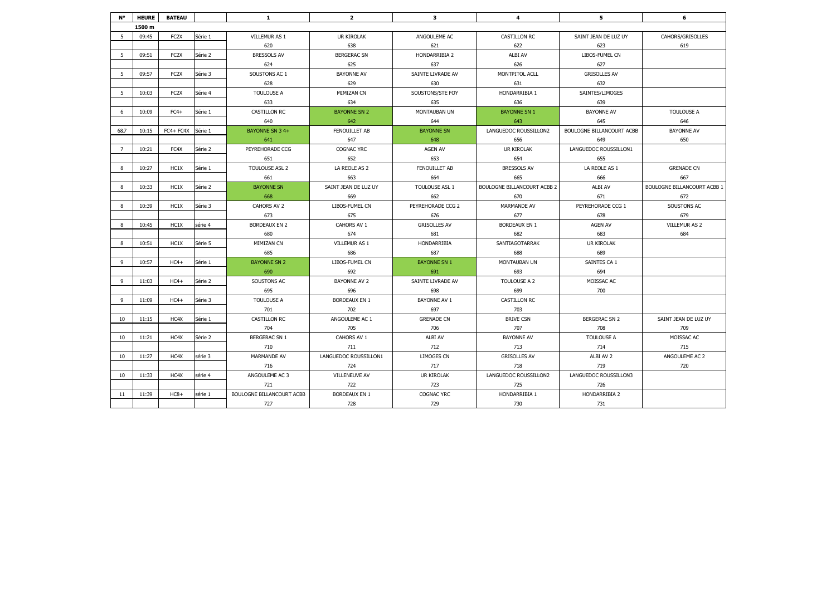| N°             | <b>HEURE</b> | <b>BATEAU</b>     |         | $\mathbf{1}$              | $\overline{2}$        | 3                   | $\overline{4}$                     | 5                         | 6                                  |
|----------------|--------------|-------------------|---------|---------------------------|-----------------------|---------------------|------------------------------------|---------------------------|------------------------------------|
|                | 1500 m       |                   |         |                           |                       |                     |                                    |                           |                                    |
| 5              | 09:45        | FC <sub>2</sub> X | Série 1 | VILLEMUR AS 1             | UR KIROLAK            | ANGOULEME AC        | CASTILLON RC                       | SAINT JEAN DE LUZ UY      | CAHORS/GRISOLLES                   |
|                |              |                   |         | 620                       | 638                   | 621                 | 622                                | 623                       | 619                                |
| 5              | 09:51        | FC <sub>2</sub> X | Série 2 | <b>BRESSOLS AV</b>        | <b>BERGERAC SN</b>    | HONDARRIBIA 2       | ALBI AV                            | LIBOS-FUMEL CN            |                                    |
|                |              |                   |         | 624                       | 625                   | 637                 | 626                                | 627                       |                                    |
| 5              | 09:57        | FC <sub>2</sub> X | Série 3 | SOUSTONS AC 1             | <b>BAYONNE AV</b>     | SAINTE LIVRADE AV   | MONTPITOL ACLL                     | <b>GRISOLLES AV</b>       |                                    |
|                |              |                   |         | 628                       | 629                   | 630                 | 631                                | 632                       |                                    |
| 5              | 10:03        | FC <sub>2</sub> X | Série 4 | TOULOUSE A                | MIMIZAN CN            | SOUSTONS/STE FOY    | HONDARRIBIA 1                      | SAINTES/LIMOGES           |                                    |
|                |              |                   |         | 633                       | 634                   | 635                 | 636                                | 639                       |                                    |
| 6              | 10:09        | $FC4+$            | Série 1 | CASTILLON RC              | <b>BAYONNE SN 2</b>   | MONTAUBAN UN        | <b>BAYONNE SN 1</b>                | <b>BAYONNE AV</b>         | <b>TOULOUSE A</b>                  |
|                |              |                   |         | 640                       | 642                   | 644                 | 643                                | 645                       | 646                                |
| 6&7            | 10:15        | FC4+ FC4X         | Série 1 | BAYONNE SN 34+            | FENOUILLET AB         | <b>BAYONNE SN</b>   | LANGUEDOC ROUSSILLON2              | BOULOGNE BILLANCOURT ACBB | <b>BAYONNE AV</b>                  |
|                |              |                   |         | 641                       | 647                   | 648                 | 656                                | 649                       | 650                                |
| $\overline{7}$ | 10:21        | FC4X              | Série 2 | PEYREHORADE CCG           | COGNAC YRC            | AGEN AV             | UR KIROLAK                         | LANGUEDOC ROUSSILLON1     |                                    |
|                |              |                   |         | 651                       | 652                   | 653                 | 654                                | 655                       |                                    |
| 8              | 10:27        | HC1X              | Série 1 | TOULOUSE ASL 2            | LA REOLE AS 2         | FENOUILLET AB       | <b>BRESSOLS AV</b>                 | LA REOLE AS 1             | <b>GRENADE CN</b>                  |
|                |              |                   |         | 661                       | 663                   | 664                 | 665                                | 666                       | 667                                |
| 8              | 10:33        | HC1X              | Série 2 | <b>BAYONNE SN</b>         | SAINT JEAN DE LUZ UY  | TOULOUSE ASL 1      | <b>BOULOGNE BILLANCOURT ACBB 2</b> | ALBI AV                   | <b>BOULOGNE BILLANCOURT ACBB 1</b> |
|                |              |                   |         | 668                       | 669                   | 662                 | 670                                | 671                       | 672                                |
| 8              | 10:39        | HC1X              | Série 3 | CAHORS AV 2               | LIBOS-FUMEL CN        | PEYREHORADE CCG 2   | MARMANDE AV                        | PEYREHORADE CCG 1         | SOUSTONS AC                        |
|                |              |                   |         | 673                       | 675                   | 676                 | 677                                | 678                       | 679                                |
| 8              | 10:45        | HC1X              | série 4 | <b>BORDEAUX EN 2</b>      | CAHORS AV 1           | <b>GRISOLLES AV</b> | <b>BORDEAUX EN 1</b>               | AGEN AV                   | VILLEMUR AS 2                      |
|                |              |                   |         | 680                       | 674                   | 681                 | 682                                | 683                       | 684                                |
| 8              | 10:51        | HC1X              | Série 5 | MIMIZAN CN                | VILLEMUR AS 1         | HONDARRIBIA         | SANTIAGOTARRAK                     | UR KIROLAK                |                                    |
|                |              |                   |         | 685                       | 686                   | 687                 | 688                                | 689                       |                                    |
| 9              | 10:57        | $HC4+$            | Série 1 | <b>BAYONNE SN 2</b>       | LIBOS-FUMEL CN        | <b>BAYONNE SN 1</b> | MONTAUBAN UN                       | SAINTES CA 1              |                                    |
|                |              |                   |         | 690                       | 692                   | 691                 | 693                                | 694                       |                                    |
| 9              | 11:03        | $HC.4+$           | Série 2 | SOUSTONS AC               | <b>BAYONNE AV 2</b>   | SAINTE LIVRADE AV   | TOULOUSE A 2                       | MOISSAC AC                |                                    |
|                |              |                   |         | 695                       | 696                   | 698                 | 699                                | 700                       |                                    |
| 9              | 11:09        | $HC4+$            | Série 3 | TOULOUSE A                | <b>BORDEAUX EN 1</b>  | <b>BAYONNE AV 1</b> | <b>CASTILLON RC</b>                |                           |                                    |
|                |              |                   |         | 701                       | 702                   | 697                 | 703                                |                           |                                    |
| 10             | 11:15        | HC4X              | Série 1 | <b>CASTILLON RC</b>       | ANGOULEME AC 1        | <b>GRENADE CN</b>   | <b>BRIVE CSN</b>                   | <b>BERGERAC SN 2</b>      | SAINT JEAN DE LUZ UY               |
|                |              |                   |         | 704                       | 705                   | 706                 | 707                                | 708                       | 709                                |
| 10             | 11:21        | HC4X              | Série 2 | <b>BERGERAC SN 1</b>      | CAHORS AV 1           | ALBI AV             | <b>BAYONNE AV</b>                  | TOULOUSE A                | MOISSAC AC                         |
|                |              |                   |         | 710                       | 711                   | 712                 | 713                                | 714                       | 715                                |
| 10             | 11:27        | HC4X              | série 3 | MARMANDE AV               | LANGUEDOC ROUSSILLON1 | LIMOGES CN          | <b>GRISOLLES AV</b>                | ALBI AV 2                 | ANGOULEME AC 2                     |
|                |              |                   |         | 716                       | 724                   | 717                 | 718                                | 719                       | 720                                |
| 10             | 11:33        | HC4X              | série 4 | ANGOULEME AC 3            | VILLENEUVE AV         | UR KIROLAK          | LANGUEDOC ROUSSILLON2              | LANGUEDOC ROUSSILLON3     |                                    |
|                |              |                   |         | 721                       | 722                   | 723                 | 725                                | 726                       |                                    |
| 11             | 11:39        | $HC8+$            | série 1 | BOULOGNE BILLANCOURT ACBB | <b>BORDEAUX EN 1</b>  | COGNAC YRC          | HONDARRIBIA 1                      | <b>HONDARRIBIA 2</b>      |                                    |
|                |              |                   |         | 727                       | 728                   | 729                 | 730                                | 731                       |                                    |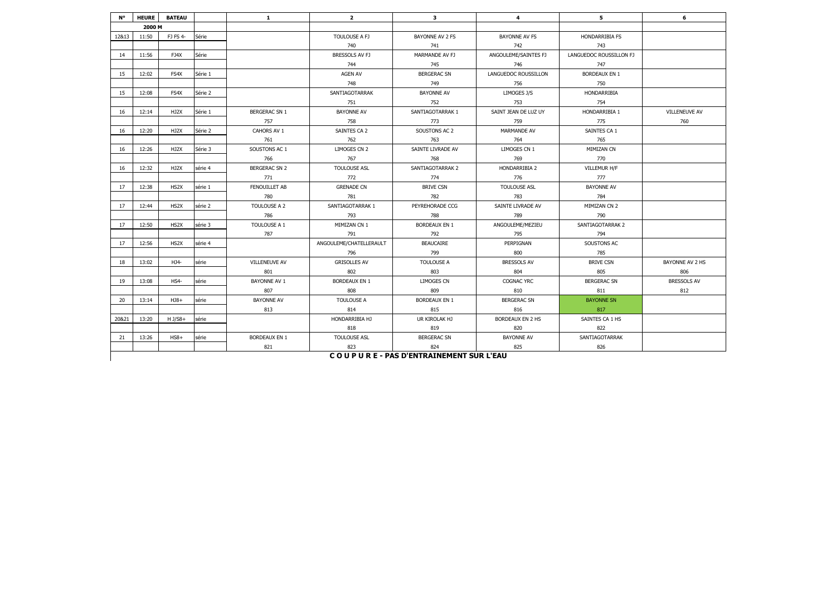| N°    | <b>HEURE</b> | <b>BATEAU</b>     |         | $\mathbf{1}$         | $\overline{2}$          | $\mathbf{3}$                           | 4                    | 5                       | 6                    |
|-------|--------------|-------------------|---------|----------------------|-------------------------|----------------------------------------|----------------------|-------------------------|----------------------|
|       | 2000 M       |                   |         |                      |                         |                                        |                      |                         |                      |
| 12&13 | 11:50        | FJ FS 4-          | Série   |                      | TOULOUSE A FJ           | BAYONNE AV 2 FS                        | <b>BAYONNE AV FS</b> | <b>HONDARRIBIA FS</b>   |                      |
|       |              |                   |         |                      | 740                     | 741                                    | 742                  | 743                     |                      |
| 14    | 11:56        | FJ4X              | Série   |                      | BRESSOLS AV FJ          | MARMANDE AV FJ                         | ANGOULEME/SAINTES FJ | LANGUEDOC ROUSSILLON FJ |                      |
|       |              |                   |         |                      | 744                     | 745                                    | 746                  | 747                     |                      |
| 15    | 12:02        | FS4X              | Série 1 |                      | <b>AGEN AV</b>          | <b>BERGERAC SN</b>                     | LANGUEDOC ROUSSILLON | <b>BORDEAUX EN 1</b>    |                      |
|       |              |                   |         |                      | 748                     | 749                                    | 756                  | 750                     |                      |
| 15    | 12:08        | FS4X              | Série 2 |                      | SANTIAGOTARRAK          | <b>BAYONNE AV</b>                      | LIMOGES J/S          | HONDARRIBIA             |                      |
|       |              |                   |         |                      | 751                     | 752                                    | 753                  | 754                     |                      |
| 16    | 12:14        | HJ2X              | Série 1 | <b>BERGERAC SN 1</b> | <b>BAYONNE AV</b>       | SANTIAGOTARRAK 1                       | SAINT JEAN DE LUZ UY | HONDARRIBIA 1           | <b>VILLENEUVE AV</b> |
|       |              |                   |         | 757                  | 758                     | 773                                    | 759                  | 775                     | 760                  |
| 16    | 12:20        | HJ2X              | Série 2 | CAHORS AV 1          | SAINTES CA 2            | SOUSTONS AC 2                          | MARMANDE AV          | SAINTES CA 1            |                      |
|       |              |                   |         | 761                  | 762                     | 763                                    | 764                  | 765                     |                      |
| 16    | 12:26        | HJ2X              | Série 3 | SOUSTONS AC 1        | LIMOGES CN 2            | SAINTE LIVRADE AV                      | LIMOGES CN 1         | MIMIZAN CN              |                      |
|       |              |                   |         | 766                  | 767                     | 768                                    | 769                  | 770                     |                      |
| 16    | 12:32        | HJ2X              | série 4 | <b>BERGERAC SN 2</b> | <b>TOULOUSE ASL</b>     | SANTIAGOTARRAK 2                       | HONDARRIBIA 2        | VILLEMUR H/F            |                      |
|       |              |                   |         | 771                  | 772                     | 774                                    | 776                  | 777                     |                      |
| 17    | 12:38        | HS <sub>2</sub> X | série 1 | <b>FENOUILLET AB</b> | <b>GRENADE CN</b>       | <b>BRIVE CSN</b>                       | <b>TOULOUSE ASL</b>  | <b>BAYONNE AV</b>       |                      |
|       |              |                   |         | 780                  | 781                     | 782                                    | 783                  | 784                     |                      |
| 17    | 12:44        | HS <sub>2</sub> X | série 2 | TOULOUSE A 2         | SANTIAGOTARRAK 1        | PEYREHORADE CCG                        | SAINTE LIVRADE AV    | MIMIZAN CN 2            |                      |
|       |              |                   |         | 786                  | 793                     | 788                                    | 789                  | 790                     |                      |
| 17    | 12:50        | HS2X              | série 3 | TOULOUSE A 1         | MIMIZAN CN 1            | <b>BORDEAUX EN 1</b>                   | ANGOULEME/MEZIEU     | SANTIAGOTARRAK 2        |                      |
|       |              |                   |         | 787                  | 791                     | 792                                    | 795                  | 794                     |                      |
| 17    | 12:56        | HS2X              | série 4 |                      | ANGOULEME/CHATELLERAULT | <b>BEAUCAIRE</b>                       | PERPIGNAN            | SOUSTONS AC             |                      |
|       |              |                   |         |                      | 796                     | 799                                    | 800                  | 785                     |                      |
| 18    | 13:02        | HJ4-              | série   | <b>VILLENEUVE AV</b> | <b>GRISOLLES AV</b>     | <b>TOULOUSE A</b>                      | <b>BRESSOLS AV</b>   | <b>BRIVE CSN</b>        | BAYONNE AV 2 HS      |
|       |              |                   |         | 801                  | 802                     | 803                                    | 804                  | 805                     | 806                  |
| 19    | 13:08        | $HS4-$            | série   | BAYONNE AV 1         | <b>BORDEAUX EN 1</b>    | <b>LIMOGES CN</b>                      | <b>COGNAC YRC</b>    | <b>BERGERAC SN</b>      | <b>BRESSOLS AV</b>   |
|       |              |                   |         | 807                  | 808                     | 809                                    | 810                  | 811                     | 812                  |
| 20    | 13:14        | $HJ8+$            | série   | <b>BAYONNE AV</b>    | <b>TOULOUSE A</b>       | <b>BORDEAUX EN 1</b>                   | <b>BERGERAC SN</b>   | <b>BAYONNE SN</b>       |                      |
|       |              |                   |         | 813                  | 814                     | 815                                    | 816                  | 817                     |                      |
| 20&21 | 13:20        | $H$ J/S8+         | série   |                      | HONDARRIBIA HJ          | UR KIROLAK HJ                          | BORDEAUX EN 2 HS     | SAINTES CA 1 HS         |                      |
|       |              |                   |         |                      | 818                     | 819                                    | 820                  | 822                     |                      |
| 21    | 13:26        | $HS8+$            | série   | <b>BORDEAUX EN 1</b> | <b>TOULOUSE ASL</b>     | <b>BERGERAC SN</b>                     | <b>BAYONNE AV</b>    | SANTIAGOTARRAK          |                      |
|       |              |                   |         | 821                  | 823                     | 824                                    | 825                  | 826                     |                      |
|       |              |                   |         |                      |                         | COUPURE - PAS D'ENTRAINEMENT SUR L'EAU |                      |                         |                      |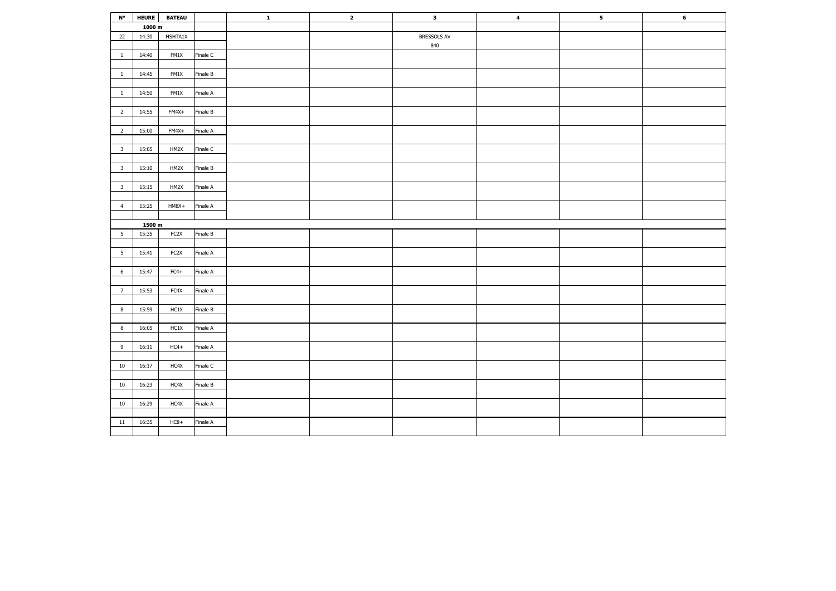| $\mathsf{N}^\mathsf{o}$ |        | HEURE BATEAU      |          | $\mathbf{1}$ | $\overline{\mathbf{2}}$ | $\overline{\mathbf{3}}$ | $\overline{\mathbf{4}}$ | 5 <sub>5</sub> | 6 |
|-------------------------|--------|-------------------|----------|--------------|-------------------------|-------------------------|-------------------------|----------------|---|
|                         | 1000 m |                   |          |              |                         |                         |                         |                |   |
| 22                      | 14:30  | HSHTA1X           |          |              |                         | BRESSOLS AV             |                         |                |   |
|                         |        |                   |          |              |                         | 840                     |                         |                |   |
| $\mathbf{1}$            | 14:40  | FM1X              | Finale C |              |                         |                         |                         |                |   |
|                         |        |                   |          |              |                         |                         |                         |                |   |
| $\mathbf{1}$            | 14:45  | FM1X              | Finale B |              |                         |                         |                         |                |   |
|                         |        |                   |          |              |                         |                         |                         |                |   |
| $\mathbf{1}$            | 14:50  | FM1X              | Finale A |              |                         |                         |                         |                |   |
|                         |        |                   |          |              |                         |                         |                         |                |   |
| $\overline{2}$          | 14:55  | FM4X+             | Finale B |              |                         |                         |                         |                |   |
|                         |        |                   |          |              |                         |                         |                         |                |   |
| $\overline{2}$          | 15:00  | FM4X+             | Finale A |              |                         |                         |                         |                |   |
|                         |        |                   |          |              |                         |                         |                         |                |   |
| $\overline{\mathbf{3}}$ | 15:05  | HM2X              | Finale C |              |                         |                         |                         |                |   |
|                         |        |                   |          |              |                         |                         |                         |                |   |
| $\overline{\mathbf{3}}$ | 15:10  | HM2X              | Finale B |              |                         |                         |                         |                |   |
|                         |        |                   |          |              |                         |                         |                         |                |   |
| $\overline{\mathbf{3}}$ | 15:15  | HM2X              | Finale A |              |                         |                         |                         |                |   |
|                         |        |                   |          |              |                         |                         |                         |                |   |
| $\overline{4}$          | 15:25  | HM8X+             | Finale A |              |                         |                         |                         |                |   |
|                         |        |                   |          |              |                         |                         |                         |                |   |
|                         | 1500 m |                   |          |              |                         |                         |                         |                |   |
| $5\overline{5}$         | 15:35  | FC2X              | Finale B |              |                         |                         |                         |                |   |
|                         |        |                   |          |              |                         |                         |                         |                |   |
| $5\overline{5}$         | 15:41  | FC <sub>2</sub> X | Finale A |              |                         |                         |                         |                |   |
|                         |        |                   |          |              |                         |                         |                         |                |   |
| 6                       | 15:47  | $FC4+$            | Finale A |              |                         |                         |                         |                |   |
|                         |        |                   |          |              |                         |                         |                         |                |   |
| $7\overline{ }$         | 15:53  | FC4X              | Finale A |              |                         |                         |                         |                |   |
|                         |        |                   |          |              |                         |                         |                         |                |   |
| 8                       | 15:59  | HC1X              | Finale B |              |                         |                         |                         |                |   |
| 8                       |        |                   |          |              |                         |                         |                         |                |   |
|                         | 16:05  | HC1X              | Finale A |              |                         |                         |                         |                |   |
| 9                       | 16:11  | $HC4+$            | Finale A |              |                         |                         |                         |                |   |
|                         |        |                   |          |              |                         |                         |                         |                |   |
| 10                      | 16:17  | HC4X              | Finale C |              |                         |                         |                         |                |   |
|                         |        |                   |          |              |                         |                         |                         |                |   |
| 10                      | 16:23  | HC4X              | Finale B |              |                         |                         |                         |                |   |
|                         |        |                   |          |              |                         |                         |                         |                |   |
| 10                      | 16:29  | HC4X              | Finale A |              |                         |                         |                         |                |   |
|                         |        |                   |          |              |                         |                         |                         |                |   |
| 11                      | 16:35  | $HC8+$            | Finale A |              |                         |                         |                         |                |   |
|                         |        |                   |          |              |                         |                         |                         |                |   |